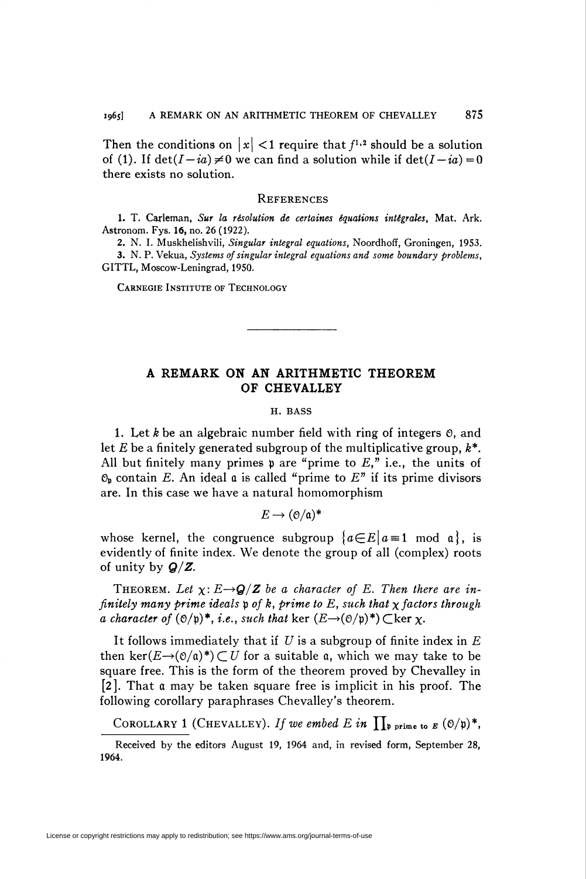Then the conditions on  $|x| < 1$  require that  $f^{1,2}$  should be a solution of (1). If  $det(I - ia) \neq 0$  we can find a solution while if  $det(I - ia) = 0$ there exists no solution.

## **REFERENCES**

1. T. Carleman, Sur la résolution de certaines équations intégrales, Mat. Ark. Astronom. Fys. 16, no. 26 (1922).

2. N. I. Muskhelishvili, Singular integral equations, Noordhoff, Groningen, 1953.

3. N. P. Vekua, Systems of singular integral equations and some boundary problems, GITTL, Moscow-Leningrad, 1950.

CARNEGIE INSTITUTE OF TECHNOLOGY

## A REMARK ON AN ARITHMETIC THEOREM OF CHEVALLEY

## H. BASS

1. Let k be an algebraic number field with ring of integers  $\mathfrak{0}$ , and let  $E$  be a finitely generated subgroup of the multiplicative group,  $k^*$ . All but finitely many primes  $\mathfrak p$  are "prime to  $E$ ," i.e., the units of  $\mathfrak{O}_p$  contain E. An ideal a is called "prime to E" if its prime divisors are. In this case we have a natural homomorphism

$$
E\to (\mathfrak{O}/\mathfrak{a})^*
$$

whose kernel, the congruence subgroup  ${a \in E | a = 1 \text{ mod } a}$ , is evidently of finite index. We denote the group of all (complex) roots of unity by  $Q/Z$ .

THEOREM. Let  $\chi: E \rightarrow Q/Z$  be a character of E. Then there are infinitely many prime ideals p of k, prime to E, such that  $\chi$  factors through a character of  $(\mathcal{O}/\mathfrak{p})^*$ , *i.e.*, such that ker  $(E \rightarrow (\mathcal{O}/\mathfrak{p})^*)$  Cker  $\chi$ .

It follows immediately that if U is a subgroup of finite index in  $E$ then ker( $E\rightarrow (0/a)^*$ ) CU for a suitable a, which we may take to be square free. This is the form of the theorem proved by Chevalley in [2]. That a may be taken square free is implicit in his proof. The following corollary paraphrases Chevalley's theorem.

COROLLARY 1 (CHEVALLEY). If we embed E in  $\prod_{\mathfrak{p} \text{ prime to } E}$  (0/p)\*,

Received by the editors August 19, 1964 and, in revised form, September 28, 1964.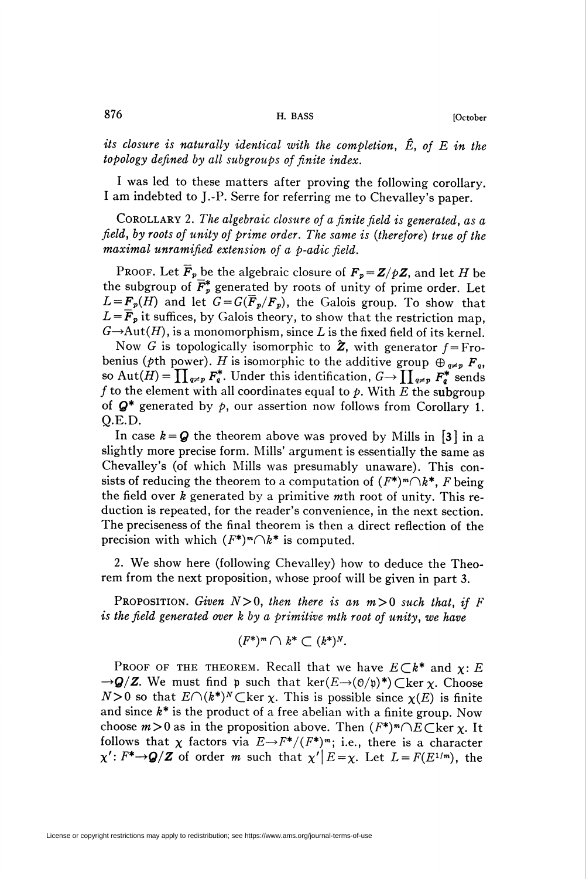I was led to these matters after proving the following corollary. I am indebted to J.-P. Serre for referring me to Chevalley's paper.

COROLLARY 2. The algebraic closure of a finite field is generated, as a field, by roots of unity of prime order. The same is (therefore) true of the maximal unramified extension of a p-adic field.

PROOF. Let  $\overline{F}_p$  be the algebraic closure of  $F_p = \mathbb{Z}/p\mathbb{Z}$ , and let H be the subgroup of  $\overline{F}_{p}^{*}$  generated by roots of unity of prime order. Let  $L = \mathbf{F}_p(H)$  and let  $G = G(\mathbf{F}_p/F_p)$ , the Galois group. To show that  $L = F_p$  it suffices, by Galois theory, to show that the restriction map,  $G \rightarrow Aut(H)$ , is a monomorphism, since L is the fixed field of its kernel.

Now G is topologically isomorphic to  $\hat{Z}$ , with generator  $f = Fr$ obenius (pth power). H is isomorphic to the additive group  $\oplus_{q\neq p} F_q$ , so Aut $(H) = \prod_{q \neq p} F_q^*$ . Under this identification,  $G \to \prod_{q \neq p} F_q^*$  sends f to the element with all coordinates equal to  $\phi$ . With E the subgroup of  $Q^*$  generated by  $p$ , our assertion now follows from Corollary 1. Q.E.D.

In case  $k = Q$  the theorem above was proved by Mills in [3] in a slightly more precise form. Mills' argument is essentially the same as Chevalley's (of which Mills was presumably unaware). This consists of reducing the theorem to a computation of  $(F^*)^m \cap k^*$ , F being the field over  $k$  generated by a primitive mth root of unity. This reduction is repeated, for the reader's convenience, in the next section. The preciseness of the final theorem is then a direct reflection of the precision with which  $(F^*)^m\bigcap k^*$  is computed.

2. We show here (following Chevalley) how to deduce the Theorem from the next proposition, whose proof will be given in part 3.

PROPOSITION. Given  $N>0$ , then there is an  $m>0$  such that, if F is the field generated over k by a primitive mth root of unity, we have

$$
(F^*)^m \cap k^* \subset (k^*)^N.
$$

PROOF OF THE THEOREM. Recall that we have  $E\subset k^*$  and  $\chi$ : E  $\rightarrow Q/Z$ . We must find p such that ker( $E\rightarrow (O/p)^*$ ) Cker x. Choose  $N>0$  so that  $E\cap (k^*)^N\subset \text{ker }\chi$ . This is possible since  $\chi(E)$  is finite and since  $k^*$  is the product of a free abelian with a finite group. Now choose  $m>0$  as in the proposition above. Then  $(F^*)^m\cap E\subset \text{ker } \chi$ . It follows that  $\chi$  factors via  $E \rightarrow F^*/(F^*)^m$ ; i.e., there is a character  $\chi' : F^* \rightarrow Q/Z$  of order m such that  $\chi' \mid E = \chi$ . Let  $L = F(E^{1/m})$ , the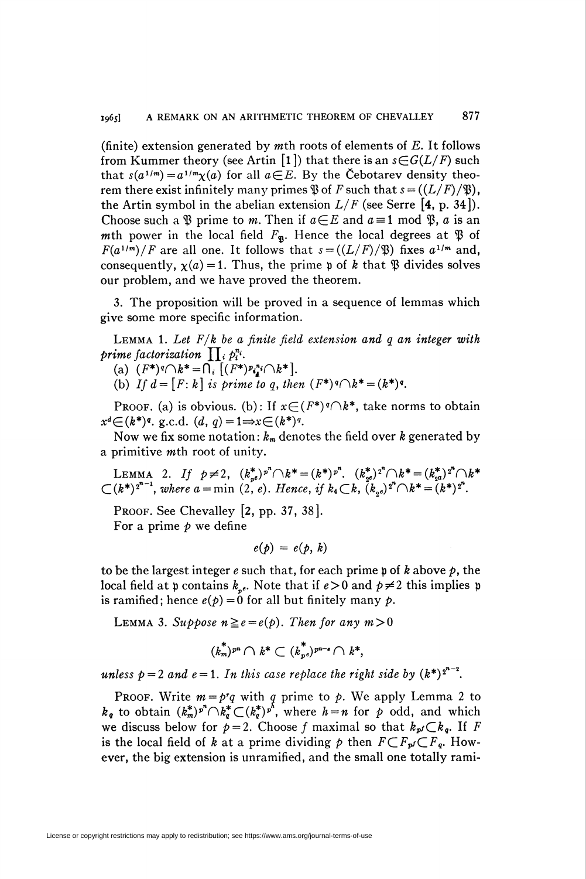(finite) extension generated by mth roots of elements of  $E$ . It follows from Kummer theory (see Artin [1]) that there is an  $s \in G(L/F)$  such that  $s(a^{1/m}) = a^{1/m}\chi(a)$  for all  $a \in E$ . By the Cebotarev density theorem there exist infinitely many primes  $\mathfrak{B}$  of F such that  $s = ((L/F)/\mathfrak{B})$ , the Artin symbol in the abelian extension  $L/F$  (see Serre [4, p. 34]). Choose such a  $\mathfrak P$  prime to m. Then if  $a \in E$  and  $a \equiv 1 \mod \mathfrak P$ , a is an mth power in the local field  $F_{\mathbf{S}}$ . Hence the local degrees at  $\mathfrak{P}$  of  $F(a^{1/m})/F$  are all one. It follows that  $s = ((L/F)/\mathfrak{B})$  fixes  $a^{1/m}$  and, consequently,  $\chi(a) = 1$ . Thus, the prime p of k that  $\mathfrak{B}$  divides solves our problem, and we have proved the theorem.

3. The proposition will be proved in a sequence of lemmas which give some more specific information.

**LEMMA 1.** Let  $F/k$  be a finite field extension and q an integer with prime factorization  $\prod_i p_i^{n_i}$ .

(a)  $(F^*)^q \cap k^* = \bigcap_i [(F^*)^p i_i^* \cap k^*].$ 

(b) If  $d = [F : k]$  is prime to q, then  $(F^*)^q \cap k^* = (k^*)^q$ .

PROOF. (a) is obvious. (b): If  $x \in (F^*)^q \cap k^*$ , take norms to obtain  $x^d \in (k^*)^q$ . g.c.d.  $(d, q) = 1 \Rightarrow x \in (k^*)^q$ .

Now we fix some notation:  $k_m$  denotes the field over k generated by a primitive mth root of unity.

LEMMA 2. If  $p \neq 2$ ,  $(k_{p^e}^*)^n \cap k^* = (k^*)^p$ .  $(k_{q^e}^*)^2 \cap k^* = (k_{q^a}^*)^2 \cap k^*$  $\mathcal{L}(k^*)^{2^{n-1}}$ , where  $a = \min (2, e)$ . Hence, if  $k_4 \mathcal{L}k$ ,  $(k_2 e)^2 \mathcal{L}k^* = (k^*)^2$ .

PROOF. See Chevalley  $[2, pp. 37, 38]$ . For a prime  $p$  we define

 $e(p) = e(p, k)$ 

to be the largest integer e such that, for each prime p of k above  $p$ , the local field at  $\mathfrak p$  contains  $k_{n_e}$ . Note that if  $e>0$  and  $p\neq2$  this implies  $\mathfrak p$ is ramified; hence  $e(p) = 0$  for all but finitely many p.

LEMMA 3. Suppose  $n \ge e = e(p)$ . Then for any  $m>0$ 

$$
(k_m^*)^{pn} \cap k^* \subset (k_{p^e}^*)^{pn-e} \cap k^*,
$$

unless  $p = 2$  and  $e = 1$ . In this case replace the right side by  $(k^*)^{2^{n-2}}$ .

PROOF. Write  $m = p^r q$  with q prime to p. We apply Lemma 2 to  $k_{q}$  to obtain  $(k_{m}^{*})^{p^{n}} \cap k_{q}^{*} \subset (k_{q}^{*})^{p^{k}}$ , where  $h = n$  for p odd, and which we discuss below for  $p = 2$ . Choose f maximal so that  $k_{p}C_{q}$ . If F is the local field of k at a prime dividing p then  $F\subset F_{p'}\subset F_q$ . However, the big extension is unramified, and the small one totally rami